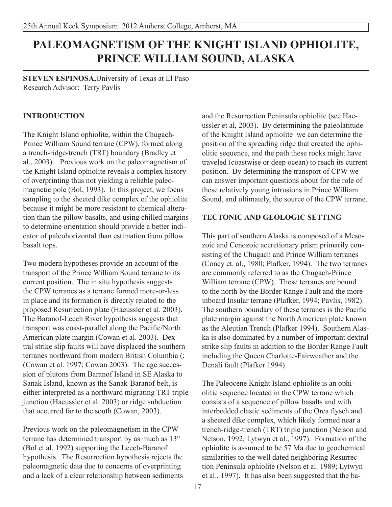# **PALEOMAGNETISM OF THE KNIGHT ISLAND OPHIOLITE, PRINCE WILLIAM SOUND, ALASKA**

**steven espinosa,**University of Texas at El Paso Research Advisor: Terry Pavlis

# **INTRODUCTION**

The Knight Island ophiolite, within the Chugach-Prince William Sound terrane (CPW), formed along a trench-ridge-trench (TRT) boundary (Bradley et al., 2003). Previous work on the paleomagnetism of the Knight Island ophiolite reveals a complex history of overprinting thus not yielding a reliable paleomagnetic pole (Bol, 1993). In this project, we focus sampling to the sheeted dike complex of the ophiolite because it might be more resistant to chemical alteration than the pillow basalts, and using chilled margins to determine orientation should provide a better indicator of paleohorizontal than estimation from pillow basalt tops.

Two modern hypotheses provide an account of the transport of the Prince William Sound terrane to its current position. The in situ hypothesis suggests the CPW terranes as a terrane formed more-or-less in place and its formation is directly related to the proposed Resurrection plate (Haeussler et al. 2003). The Baranof-Leech River hypothesis suggests that transport was coast-parallel along the Pacific/North American plate margin (Cowan et al. 2003). Dextral strike slip faults will have displaced the southern terranes northward from modern British Columbia (; (Cowan et al. 1997; Cowan 2003). The age succession of plutons from Baranof Island in SE Alaska to Sanak Island, known as the Sanak-Baranof belt, is either interpreted as a northward migrating TRT triple junction (Haeussler et al. 2003) or ridge subduction that occurred far to the south (Cowan, 2003).

Previous work on the paleomagnetism in the CPW terrane has determined transport by as much as 13° (Bol et al. 1992) supporting the Leech-Baranof hypothesis. The Resurrection hypothesis rejects the paleomagnetic data due to concerns of overprinting and a lack of a clear relationship between sediments

and the Resurrection Peninsula ophiolite (see Haeussler et al, 2003). By determining the paleolatitude of the Knight Island ophiolite we can determine the position of the spreading ridge that created the ophiolitic sequence, and the path these rocks might have traveled (coastwise or deep ocean) to reach its current position. By determining the transport of CPW we can answer important questions about for the role of these relatively young intrusions in Prince William Sound, and ultimately, the source of the CPW terrane.

# **TECTONIC AND GEOLOGIC SETTING**

This part of southern Alaska is composed of a Mesozoic and Cenozoic accretionary prism primarily consisting of the Chugach and Prince William terranes (Coney et. al., 1980; Plafker, 1994). The two terranes are commonly referred to as the Chugach-Prince William terrane (CPW). These terranes are bound to the north by the Border Range Fault and the more inboard Insular terrane (Plafker, 1994; Pavlis, 1982). The southern boundary of these terranes is the Pacific plate margin against the North American plate known as the Aleutian Trench (Plafker 1994). Southern Alaska is also dominated by a number of important dextral strike slip faults in addition to the Border Range Fault including the Queen Charlotte-Fairweather and the Denali fault (Plafker 1994).

The Paleocene Knight Island ophiolite is an ophiolitic sequence located in the CPW terrane which consists of a sequence of pillow basalts and with interbedded clastic sediments of the Orca flysch and a sheeted dike complex, which likely formed near a trench-ridge-trench (TRT) triple junction (Nelson and Nelson, 1992; Lytwyn et al., 1997). Formation of the ophiolite is assumed to be 57 Ma due to geochemical similarities to the well dated neighboring Resurrection Peninsula ophiolite (Nelson et al. 1989; Lytwyn et al., 1997). It has also been suggested that the ba-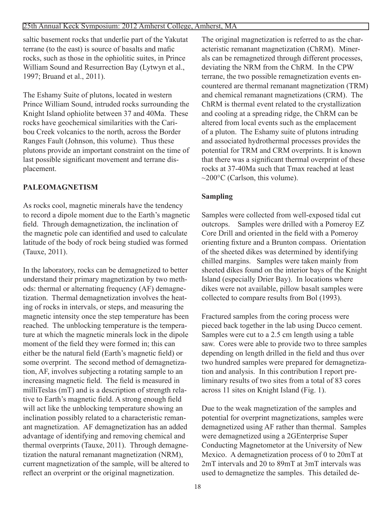#### 25th Annual Keck Symposium: 2012 Amherst College, Amherst, MA

saltic basement rocks that underlie part of the Yakutat terrane (to the east) is source of basalts and mafic rocks, such as those in the ophiolitic suites, in Prince William Sound and Resurrection Bay (Lytwyn et al., 1997; Bruand et al., 2011).

The Eshamy Suite of plutons, located in western Prince William Sound, intruded rocks surrounding the Knight Island ophiolite between 37 and 40Ma. These rocks have geochemical similarities with the Caribou Creek volcanics to the north, across the Border Ranges Fault (Johnson, this volume). Thus these plutons provide an important constraint on the time of last possible significant movement and terrane displacement.

## **PALEOMAGNETISM**

As rocks cool, magnetic minerals have the tendency to record a dipole moment due to the Earth's magnetic field. Through demagnetization, the inclination of the magnetic pole can identified and used to calculate latitude of the body of rock being studied was formed (Tauxe, 2011).

In the laboratory, rocks can be demagnetized to better understand their primary magnetization by two methods: thermal or alternating frequency (AF) demagnetization. Thermal demagnetization involves the heating of rocks in intervals, or steps, and measuring the magnetic intensity once the step temperature has been reached. The unblocking temperature is the temperature at which the magnetic minerals lock in the dipole moment of the field they were formed in; this can either be the natural field (Earth's magnetic field) or some overprint. The second method of demagnetization, AF, involves subjecting a rotating sample to an increasing magnetic field. The field is measured in milliTeslas (mT) and is a description of strength relative to Earth's magnetic field. A strong enough field will act like the unblocking temperature showing an inclination possibly related to a characteristic remanant magnetization. AF demagnetization has an added advantage of identifying and removing chemical and thermal overprints (Tauxe, 2011). Through demagnetization the natural remanant magnetization (NRM), current magnetization of the sample, will be altered to reflect an overprint or the original magnetization.

The original magnetization is referred to as the characteristic remanant magnetization (ChRM). Minerals can be remagnetized through different processes, deviating the NRM from the ChRM. In the CPW terrane, the two possible remagnetization events encountered are thermal remanant magnetization (TRM) and chemical remanant magnetizations (CRM). The ChRM is thermal event related to the crystallization and cooling at a spreading ridge, the ChRM can be altered from local events such as the emplacement of a pluton. The Eshamy suite of plutons intruding and associated hydrothermal processes provides the potential for TRM and CRM overprints. It is known that there was a significant thermal overprint of these rocks at 37-40Ma such that Tmax reached at least  $\sim$ 200 $^{\circ}$ C (Carlson, this volume).

#### **Sampling**

Samples were collected from well-exposed tidal cut outcrops. Samples were drilled with a Pomeroy EZ Core Drill and oriented in the field with a Pomeroy orienting fixture and a Brunton compass. Orientation of the sheeted dikes was determined by identifying chilled margins. Samples were taken mainly from sheeted dikes found on the interior bays of the Knight Island (especially Drier Bay). In locations where dikes were not available, pillow basalt samples were collected to compare results from Bol (1993).

Fractured samples from the coring process were pieced back together in the lab using Ducco cement. Samples were cut to a 2.5 cm length using a table saw. Cores were able to provide two to three samples depending on length drilled in the field and thus over two hundred samples were prepared for demagnetization and analysis. In this contribution I report preliminary results of two sites from a total of 83 cores across 11 sites on Knight Island (Fig. 1).

Due to the weak magnetization of the samples and potential for overprint magnetizations, samples were demagnetized using AF rather than thermal. Samples were demagnetized using a 2GEnterprise Super Conducting Magnetometor at the University of New Mexico. A demagnetization process of 0 to 20mT at 2mT intervals and 20 to 89mT at 3mT intervals was used to demagnetize the samples. This detailed de-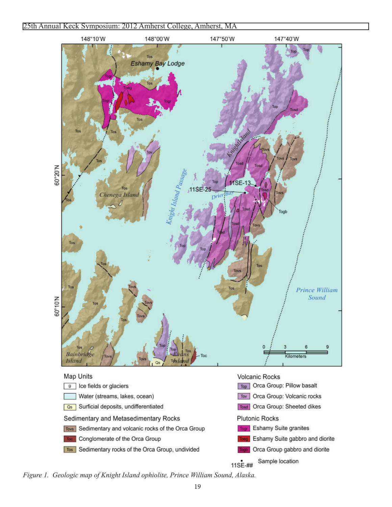

*Figure 1. Geologic map of Knight Island ophiolite, Prince William Sound, Alaska.*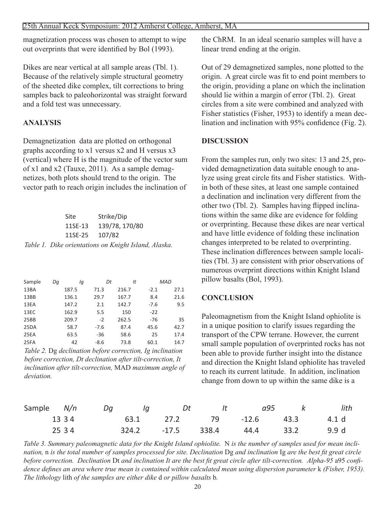magnetization process was chosen to attempt to wipe out overprints that were identified by Bol (1993).

Dikes are near vertical at all sample areas (Tbl. 1). Because of the relatively simple structural geometry of the sheeted dike complex, tilt corrections to bring samples back to paleohorizontal was straight forward and a fold test was unnecessary.

### **ANALYSIS**

Demagnetization data are plotted on orthogonal graphs according to x1 versus x2 and H versus x3 (vertical) where H is the magnitude of the vector sum of x1 and x2 (Tauxe, 2011). As a sample demagnetizes, both plots should trend to the origin. The vector path to reach origin includes the inclination of

| Site           | Strike/Dip                                           |
|----------------|------------------------------------------------------|
| 11SE-13        | 139/78, 170/80                                       |
| 11SE-25 107/82 |                                                      |
|                | Table 1. Dike orientations on Knight Island, Alaska. |

| Sample | Dq | lq    | Dt     | It    | MAD    |      |
|--------|----|-------|--------|-------|--------|------|
| 13BA   |    | 187.5 | 71.3   | 216.7 | $-2.1$ | 27.1 |
| 13BB   |    | 136.1 | 29.7   | 167.7 | 8.4    | 21.6 |
| 13EA   |    | 147.2 | 2.1    | 142.7 | $-7.6$ | 9.5  |
| 13EC   |    | 162.9 | 5.5    | 150   | $-22$  |      |
| 25BB   |    | 209.7 | $-2$   | 262.5 | -76    | 35   |
| 25DA   |    | 58.7  | $-7.6$ | 87.4  | 45.6   | 42.7 |
| 25EA   |    | 63.5  | $-36$  | 58.6  | 25     | 17.4 |
| 25FA   |    | 42    | $-8.6$ | 73.8  | 60.1   | 14.7 |

*Table 2.* Dg *declination before correction, Ig inclination before correction, Dt declination after tilt-correction, It inclination after tilt-correction,* MAD *maximum angle of deviation.*

the ChRM. In an ideal scenario samples will have a linear trend ending at the origin.

Out of 29 demagnetized samples, none plotted to the origin. A great circle was fit to end point members to the origin, providing a plane on which the inclination should lie within a margin of error (Tbl. 2). Great circles from a site were combined and analyzed with Fisher statistics (Fisher, 1953) to identify a mean declination and inclination with 95% confidence (Fig. 2).

#### **DISCUSSION**

From the samples run, only two sites: 13 and 25, provided demagnetization data suitable enough to analyze using great circle fits and Fisher statistics. Within both of these sites, at least one sample contained a declination and inclination very different from the other two (Tbl. 2). Samples having flipped inclinations within the same dike are evidence for folding or overprinting. Because these dikes are near vertical and have little evidence of folding these inclination changes interpreted to be related to overprinting. These inclination differences between sample localities (Tbl. 3) are consistent with prior observations of numerous overprint directions within Knight Island pillow basalts (Bol, 1993).

#### **CONCLUSION**

Paleomagnetism from the Knight Island ophiolite is in a unique position to clarify issues regarding the transport of the CPW terrane. However, the current small sample population of overprinted rocks has not been able to provide further insight into the distance and direction the Knight Island ophiolite has traveled to reach its current latitude. In addition, inclination change from down to up within the same dike is a

| Sample N/n |      | Dq | lq | Dt |  | It a95 k                              | lith |
|------------|------|----|----|----|--|---------------------------------------|------|
|            |      |    |    |    |  | 13 3 4 63.1 27.2 79 - 12.6 43.3 4.1 d |      |
|            | 2534 |    |    |    |  | 324.2 -17.5 338.4 44.4 33.2 9.9 d     |      |

Table 3. Summary paleomagnetic data for the Knight Island ophiolite. N is the number of samples used for mean incli*nation,* n *is the total number of samples processed for site. Declination* Dg *and inclination* Ig *are the best fit great circle before correction. Declination* Dt *and inclination It are the best fit great circle after tilt-correction. Alpha-95* a95 *confidence defines an area where true mean is contained within calculated mean using dispersion parameter* k *(Fisher, 1953). The lithology* lith *of the samples are either dike* d *or pillow basalts* b*.*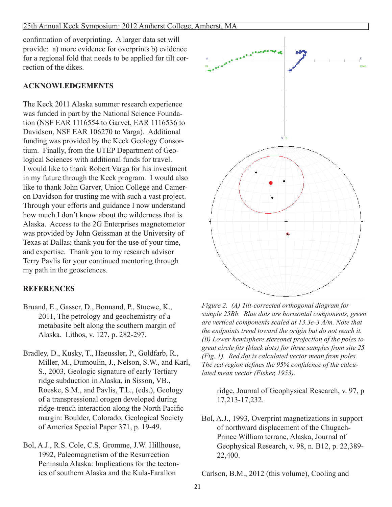confirmation of overprinting. A larger data set will provide: a) more evidence for overprints b) evidence for a regional fold that needs to be applied for tilt correction of the dikes.

# **ACKNOWLEDGEMENTS**

The Keck 2011 Alaska summer research experience was funded in part by the National Science Foundation (NSF EAR 1116554 to Garvet, EAR 1116536 to Davidson, NSF EAR 106270 to Varga). Additional funding was provided by the Keck Geology Consortium. Finally, from the UTEP Department of Geological Sciences with additional funds for travel. I would like to thank Robert Varga for his investment in my future through the Keck program. I would also like to thank John Garver, Union College and Cameron Davidson for trusting me with such a vast project. Through your efforts and guidance I now understand how much I don't know about the wilderness that is Alaska. Access to the 2G Enterprises magnetometor was provided by John Geissman at the University of Texas at Dallas; thank you for the use of your time, and expertise. Thank you to my research advisor Terry Pavlis for your continued mentoring through my path in the geosciences.

# **REFERENCES**

- Bruand, E., Gasser, D., Bonnand, P., Stuewe, K., 2011, The petrology and geochemistry of a metabasite belt along the southern margin of Alaska. Lithos, v. 127, p. 282-297.
- Bradley, D., Kusky, T., Haeussler, P., Goldfarb, R., Miller, M., Dumoulin, J., Nelson, S.W., and Karl, S., 2003, Geologic signature of early Tertiary ridge subduction in Alaska, in Sisson, VB., Roeske, S.M., and Pavlis, T.L., (eds.), Geology of a transpressional orogen developed during ridge-trench interaction along the North Pacific margin: Boulder, Colorado, Geological Society of America Special Paper 371, p. 19-49.
- Bol, A.J., R.S. Cole, C.S. Gromme, J.W. Hillhouse, 1992, Paleomagnetism of the Resurrection Peninsula Alaska: Implications for the tectonics of southern Alaska and the Kula-Farallon



*Figure 2. (A) Tilt-corrected orthogonal diagram for sample 25Bb. Blue dots are horizontal components, green are vertical components scaled at 13.3e-3 A/m. Note that the endpoints trend toward the origin but do not reach it. (B) Lower hemisphere stereonet projection of the poles to great circle fits (black dots) for three samples from site 25 (Fig. 1). Red dot is calculated vector mean from poles. The red region defines the 95% confidence of the calculated mean vector (Fisher, 1953).*

ridge, Journal of Geophysical Research, v. 97, p 17,213-17,232.

Bol, A.J., 1993, Overprint magnetizations in support of northward displacement of the Chugach-Prince William terrane, Alaska, Journal of Geophysical Research, v. 98, n. B12, p. 22,389- 22,400.

Carlson, B.M., 2012 (this volume), Cooling and